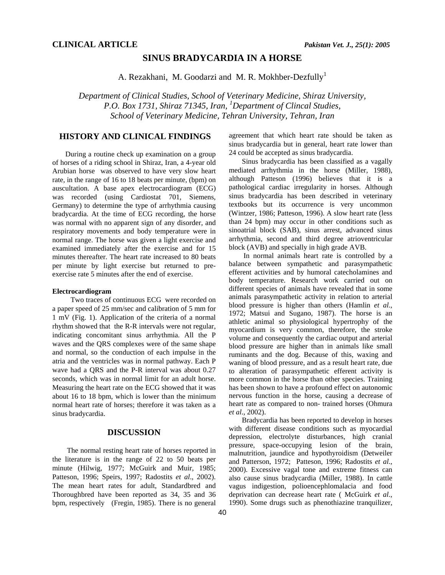### **SINUS BRADYCARDIA IN A HORSE**

A. Rezakhani, M. Goodarzi and M. R. Mokhber-Dezfully<sup>1</sup>

*Department of Clinical Studies, School of Veterinary Medicine, Shiraz University, P.O. Box 1731, Shiraz 71345, Iran, 1 Department of Clincal Studies, School of Veterinary Medicine, Tehran University, Tehran, Iran* 

# **HISTORY AND CLINICAL FINDINGS**

During a routine check up examination on a group of horses of a riding school in Shiraz, Iran, a 4-year old Arubian horse was observed to have very slow heart rate, in the range of 16 to 18 beats per minute, (bpm) on auscultation. A base apex electrocardiogram (ECG) was recorded (using Cardiostat 701, Siemens, Germany) to determine the type of arrhythmia causing bradycardia. At the time of ECG recording, the horse was normal with no apparent sign of any disorder, and respiratory movements and body temperature were in normal range. The horse was given a light exercise and examined immediately after the exercise and for 15 minutes thereafter. The heart rate increased to 80 beats per minute by light exercise but returned to preexercise rate 5 minutes after the end of exercise.

#### **Electrocardiogram**

 Two traces of continuous ECG were recorded on a paper speed of 25 mm/sec and calibration of 5 mm for 1 mV (Fig. 1). Application of the criteria of a normal rhythm showed that the R-R intervals were not regular, indicating concomitant sinus arrhythmia. All the P waves and the QRS complexes were of the same shape and normal, so the conduction of each impulse in the atria and the ventricles was in normal pathway. Each P wave had a QRS and the P-R interval was about 0.27 seconds, which was in normal limit for an adult horse. Measuring the heart rate on the ECG showed that it was about 16 to 18 bpm, which is lower than the minimum normal heart rate of horses; therefore it was taken as a sinus bradycardia.

### **DISCUSSION**

 The normal resting heart rate of horses reported in the literature is in the range of 22 to 50 beats per minute (Hilwig, 1977; McGuirk and Muir, 1985; Patteson, 1996; Speirs, 1997; Radostits *et al*., 2002). The mean heart rates for adult, Standardbred and Thoroughbred have been reported as 34, 35 and 36 bpm, respectively (Fregin, 1985). There is no general agreement that which heart rate should be taken as sinus bradycardia but in general, heart rate lower than 24 could be accepted as sinus bradycardia.

Sinus bradycardia has been classified as a vagally mediated arrhythmia in the horse (Miller, 1988), although Patteson (1996) believes that it is a pathological cardiac irregularity in horses. Although sinus bradycardia has been described in veterinary textbooks but its occurrence is very uncommon (Wintzer, 1986; Patteson, 1996). A slow heart rate (less than 24 bpm) may occur in other conditions such as sinoatrial block (SAB), sinus arrest, advanced sinus arrhythmia, second and third degree atrioventricular block (AVB) and specially in high grade AVB.

 In normal animals heart rate is controlled by a balance between sympathetic and parasympathetic efferent activities and by humoral catecholamines and body temperature. Research work carried out on different species of animals have revealed that in some animals parasympathetic activity in relation to arterial blood pressure is higher than others (Hamlin *et al*., 1972; Matsui and Sugano, 1987). The horse is an athletic animal so physiological hypertrophy of the myocardium is very common, therefore, the stroke volume and consequently the cardiac output and arterial blood pressure are higher than in animals like small ruminants and the dog. Because of this, waxing and waning of blood pressure, and as a result heart rate, due to alteration of parasympathetic efferent activity is more common in the horse than other species. Training has been shown to have a profound effect on autonomic nervous function in the horse, causing a decrease of heart rate as compared to non- trained horses (Ohmura *et al*., 2002).

Bradycardia has been reported to develop in horses with different disease conditions such as myocardial depression, electrolyte disturbances, high cranial pressure, space-occupying lesion of the brain, malnutrition, jaundice and hypothyroidism (Detweiler and Patterson, 1972; Patteson, 1996; Radostits *et al*., 2000). Excessive vagal tone and extreme fitness can also cause sinus bradycardia (Miller, 1988). In cattle vagus indigestion, polioencephlomalacia and food deprivation can decrease heart rate ( McGuirk *et al*., 1990). Some drugs such as phenothiazine tranquilizer,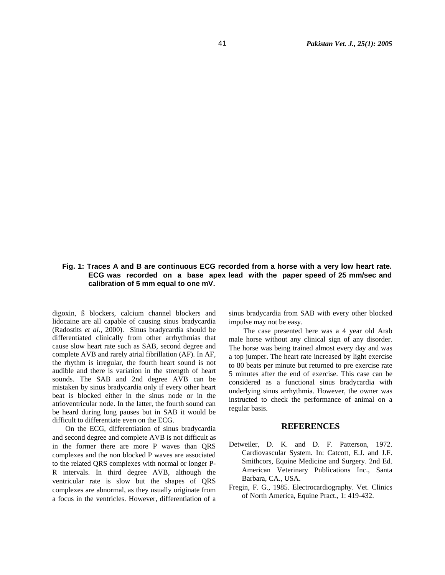## **Fig. 1: Traces A and B are continuous ECG recorded from a horse with a very low heart rate. ECG was recorded on a base apex lead with the paper speed of 25 mm/sec and calibration of 5 mm equal to one mV.**

digoxin, ß blockers, calcium channel blockers and lidocaine are all capable of causing sinus bradycardia (Radostits *et al*., 2000). Sinus bradycardia should be differentiated clinically from other arrhythmias that cause slow heart rate such as SAB, second degree and complete AVB and rarely atrial fibrillation (AF). In AF, the rhythm is irregular, the fourth heart sound is not audible and there is variation in the strength of heart sounds. The SAB and 2nd degree AVB can be mistaken by sinus bradycardia only if every other heart beat is blocked either in the sinus node or in the atrioventricular node. In the latter, the fourth sound can be heard during long pauses but in SAB it would be difficult to differentiate even on the ECG.

On the ECG, differentiation of sinus bradycardia and second degree and complete AVB is not difficult as in the former there are more P waves than QRS complexes and the non blocked P waves are associated to the related QRS complexes with normal or longer P-R intervals. In third degree AVB, although the ventricular rate is slow but the shapes of QRS complexes are abnormal, as they usually originate from a focus in the ventricles. However, differentiation of a sinus bradycardia from SAB with every other blocked impulse may not be easy.

 The case presented here was a 4 year old Arab male horse without any clinical sign of any disorder. The horse was being trained almost every day and was a top jumper. The heart rate increased by light exercise to 80 beats per minute but returned to pre exercise rate 5 minutes after the end of exercise. This case can be considered as a functional sinus bradycardia with underlying sinus arrhythmia. However, the owner was instructed to check the performance of animal on a regular basis.

#### **REFERENCES**

- Detweiler, D. K. and D. F. Patterson, 1972. Cardiovascular System. In: Catcott, E.J. and J.F. Smithcors, Equine Medicine and Surgery. 2nd Ed. American Veterinary Publications Inc., Santa Barbara, CA., USA.
- Fregin, F. G., 1985. Electrocardiography. Vet. Clinics of North America, Equine Pract., 1: 419-432.